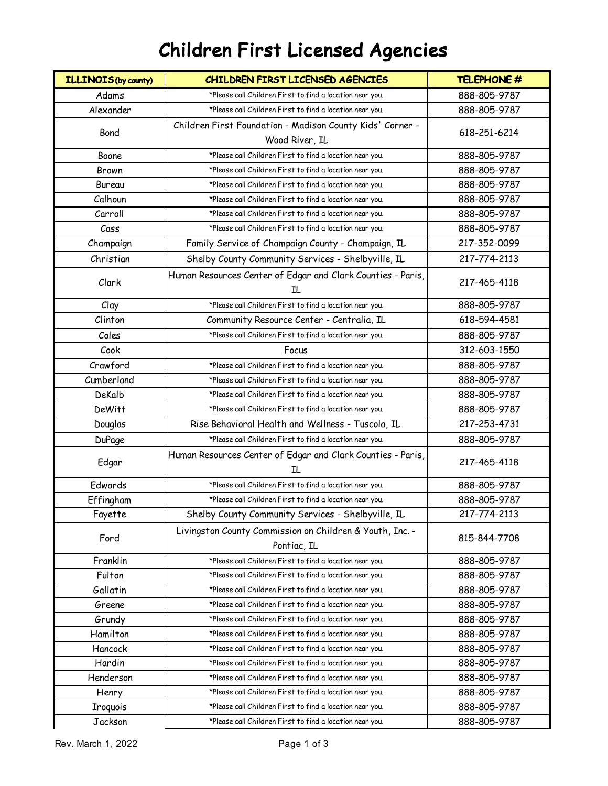## Children First Licensed Agencies

| <b>ILLINOIS(by county)</b> | CHILDREN FIRST LICENSED AGENCIES                                        | <b>TELEPHONE #</b> |
|----------------------------|-------------------------------------------------------------------------|--------------------|
| Adams                      | *Please call Children First to find a location near you.                | 888-805-9787       |
| Alexander                  | *Please call Children First to find a location near you.                | 888-805-9787       |
| Bond                       | Children First Foundation - Madison County Kids' Corner -               | 618-251-6214       |
|                            | Wood River, IL                                                          |                    |
| Boone                      | *Please call Children First to find a location near you.                | 888-805-9787       |
| <b>Brown</b>               | *Please call Children First to find a location near you.                | 888-805-9787       |
| Bureau                     | *Please call Children First to find a location near you.                | 888-805-9787       |
| Calhoun                    | *Please call Children First to find a location near you.                | 888-805-9787       |
| Carroll                    | *Please call Children First to find a location near you.                | 888-805-9787       |
| Cass                       | *Please call Children First to find a location near you.                | 888-805-9787       |
| Champaign                  | Family Service of Champaign County - Champaign, IL                      | 217-352-0099       |
| Christian                  | Shelby County Community Services - Shelbyville, IL                      | 217-774-2113       |
| Clark                      | Human Resources Center of Edgar and Clark Counties - Paris,<br>IL.      | 217-465-4118       |
| Clay                       | *Please call Children First to find a location near you.                | 888-805-9787       |
| Clinton                    | Community Resource Center - Centralia, IL                               | 618-594-4581       |
| Coles                      | *Please call Children First to find a location near you.                | 888-805-9787       |
| Cook                       | Focus                                                                   | 312-603-1550       |
| Crawford                   | *Please call Children First to find a location near you.                | 888-805-9787       |
| Cumberland                 | *Please call Children First to find a location near you.                | 888-805-9787       |
| DeKalb                     | *Please call Children First to find a location near you.                | 888-805-9787       |
| <b>DeWitt</b>              | *Please call Children First to find a location near you.                | 888-805-9787       |
| Douglas                    | Rise Behavioral Health and Wellness - Tuscola, IL                       | 217-253-4731       |
| <b>DuPage</b>              | *Please call Children First to find a location near you.                | 888-805-9787       |
| Edgar                      | Human Resources Center of Edgar and Clark Counties - Paris,<br>IL.      | 217-465-4118       |
| Edwards                    | *Please call Children First to find a location near you.                | 888-805-9787       |
| Effingham                  | *Please call Children First to find a location near you.                | 888-805-9787       |
| Fayette                    | Shelby County Community Services - Shelbyville, IL                      | 217-774-2113       |
| Ford                       | Livingston County Commission on Children & Youth, Inc. -<br>Pontiac, IL | 815-844-7708       |
| Franklin                   | *Please call Children First to find a location near you.                | 888-805-9787       |
| Fulton                     | *Please call Children First to find a location near you.                | 888-805-9787       |
| Gallatin                   | *Please call Children First to find a location near you.                | 888-805-9787       |
| Greene                     | *Please call Children First to find a location near you.                | 888-805-9787       |
| Grundy                     | *Please call Children First to find a location near you.                | 888-805-9787       |
| Hamilton                   | *Please call Children First to find a location near you.                | 888-805-9787       |
| Hancock                    | *Please call Children First to find a location near you.                | 888-805-9787       |
| Hardin                     | *Please call Children First to find a location near you.                | 888-805-9787       |
| Henderson                  | *Please call Children First to find a location near you.                | 888-805-9787       |
| Henry                      | *Please call Children First to find a location near you.                | 888-805-9787       |
| <b>Iroquois</b>            | *Please call Children First to find a location near you.                | 888-805-9787       |
| Jackson                    | *Please call Children First to find a location near you.                | 888-805-9787       |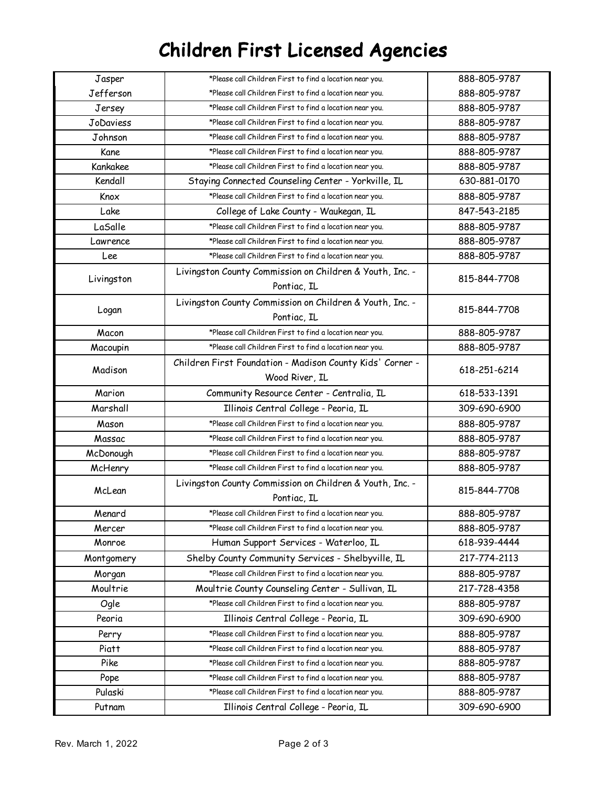## Children First Licensed Agencies

| Jasper       | *Please call Children First to find a location near you.                    | 888-805-9787 |
|--------------|-----------------------------------------------------------------------------|--------------|
| Jefferson    | *Please call Children First to find a location near you.                    | 888-805-9787 |
| Jersey       | *Please call Children First to find a location near you.                    | 888-805-9787 |
| JoDaviess    | *Please call Children First to find a location near you.                    | 888-805-9787 |
| Johnson      | *Please call Children First to find a location near you.                    | 888-805-9787 |
| Kane         | *Please call Children First to find a location near you.                    | 888-805-9787 |
| Kankakee     | *Please call Children First to find a location near you.                    | 888-805-9787 |
| Kendall      | Staying Connected Counseling Center - Yorkville, IL                         | 630-881-0170 |
| Knox         | *Please call Children First to find a location near you.                    | 888-805-9787 |
| Lake         | College of Lake County - Waukegan, IL                                       | 847-543-2185 |
| LaSalle      | *Please call Children First to find a location near you.                    | 888-805-9787 |
| Lawrence     | *Please call Children First to find a location near you.                    | 888-805-9787 |
| Lee          | *Please call Children First to find a location near you.                    | 888-805-9787 |
| Livingston   | Livingston County Commission on Children & Youth, Inc. -<br>Pontiac, IL     | 815-844-7708 |
| Logan        | Livingston County Commission on Children & Youth, Inc. -<br>Pontiac, IL     | 815-844-7708 |
| Macon        | *Please call Children First to find a location near you.                    | 888-805-9787 |
| Macoupin     | *Please call Children First to find a location near you.                    | 888-805-9787 |
| Madison      | Children First Foundation - Madison County Kids' Corner -<br>Wood River, IL | 618-251-6214 |
| Marion       | Community Resource Center - Centralia, IL                                   | 618-533-1391 |
| Marshall     | Illinois Central College - Peoria, IL                                       | 309-690-6900 |
| Mason        | *Please call Children First to find a location near you.                    | 888-805-9787 |
| Massac       | *Please call Children First to find a location near you.                    | 888-805-9787 |
| McDonough    | *Please call Children First to find a location near you.                    | 888-805-9787 |
| McHenry      | *Please call Children First to find a location near you.                    | 888-805-9787 |
| McLean       | Livingston County Commission on Children & Youth, Inc. -<br>Pontiac, IL     | 815-844-7708 |
| Menard       | *Please call Children First to find a location near you.                    | 888-805-9787 |
| Mercer       | *Please call Children First to find a location near you.                    | 888-805-9787 |
| Monroe       | Human Support Services - Waterloo, IL                                       | 618-939-4444 |
| Montgomery   | Shelby County Community Services - Shelbyville, IL                          | 217-774-2113 |
| Morgan       | *Please call Children First to find a location near you.                    | 888-805-9787 |
| Moultrie     | Moultrie County Counseling Center - Sullivan, IL                            | 217-728-4358 |
| Ogle         | *Please call Children First to find a location near you.                    | 888-805-9787 |
| Peoria       | Illinois Central College - Peoria, IL                                       | 309-690-6900 |
| Perry        | *Please call Children First to find a location near you.                    | 888-805-9787 |
| <b>Piatt</b> | *Please call Children First to find a location near you.                    | 888-805-9787 |
| Pike         | *Please call Children First to find a location near you.                    | 888-805-9787 |
| Pope         | *Please call Children First to find a location near you.                    | 888-805-9787 |
| Pulaski      | *Please call Children First to find a location near you.                    | 888-805-9787 |
| Putnam       | Illinois Central College - Peoria, IL                                       | 309-690-6900 |